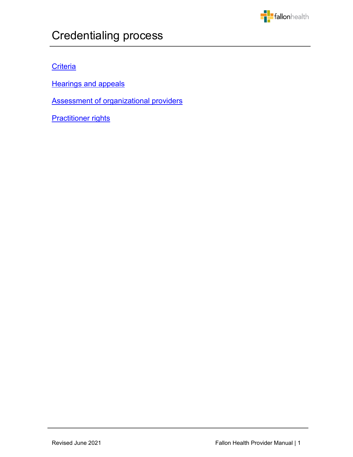

# Credentialing process

## **[Criteria](#page-1-0)**

**[Hearings and appeals](#page-6-0)** 

[Assessment of organizational providers](#page-8-0)

j

**[Practitioner rights](#page-9-0)**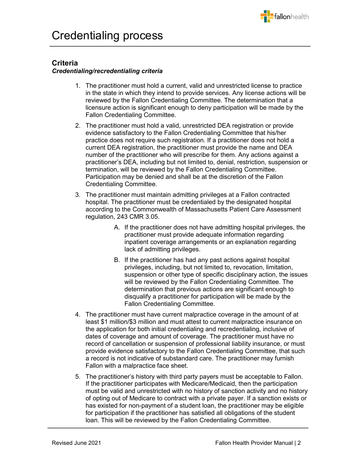

## <span id="page-1-0"></span>**Criteria**

### *Credentialing/recredentialing criteria*

- 1. The practitioner must hold a current, valid and unrestricted license to practice in the state in which they intend to provide services. Any license actions will be reviewed by the Fallon Credentialing Committee. The determination that a licensure action is significant enough to deny participation will be made by the Fallon Credentialing Committee.
- 2. The practitioner must hold a valid, unrestricted DEA registration or provide evidence satisfactory to the Fallon Credentialing Committee that his/her practice does not require such registration. If a practitioner does not hold a current DEA registration, the practitioner must provide the name and DEA number of the practitioner who will prescribe for them. Any actions against a practitioner's DEA, including but not limited to, denial, restriction, suspension or termination, will be reviewed by the Fallon Credentialing Committee. Participation may be denied and shall be at the discretion of the Fallon Credentialing Committee.
- 3. The practitioner must maintain admitting privileges at a Fallon contracted hospital. The practitioner must be credentialed by the designated hospital according to the Commonwealth of Massachusetts Patient Care Assessment regulation, 243 CMR 3.05.
	- A. If the practitioner does not have admitting hospital privileges, the practitioner must provide adequate information regarding inpatient coverage arrangements or an explanation regarding lack of admitting privileges.
	- B. If the practitioner has had any past actions against hospital privileges, including, but not limited to, revocation, limitation, suspension or other type of specific disciplinary action, the issues will be reviewed by the Fallon Credentialing Committee. The determination that previous actions are significant enough to disqualify a practitioner for participation will be made by the Fallon Credentialing Committee.
- 4. The practitioner must have current malpractice coverage in the amount of at least \$1 million/\$3 million and must attest to current malpractice insurance on the application for both initial credentialing and recredentialing, inclusive of dates of coverage and amount of coverage. The practitioner must have no record of cancellation or suspension of professional liability insurance, or must provide evidence satisfactory to the Fallon Credentialing Committee, that such a record is not indicative of substandard care. The practitioner may furnish Fallon with a malpractice face sheet.
- 5. The practitioner's history with third party payers must be acceptable to Fallon. If the practitioner participates with Medicare/Medicaid, then the participation must be valid and unrestricted with no history of sanction activity and no history of opting out of Medicare to contract with a private payer. If a sanction exists or has existed for non-payment of a student loan, the practitioner may be eligible for participation if the practitioner has satisfied all obligations of the student loan. This will be reviewed by the Fallon Credentialing Committee.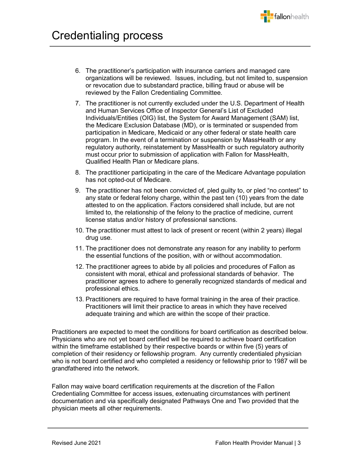

- 6. The practitioner's participation with insurance carriers and managed care organizations will be reviewed. Issues, including, but not limited to, suspension or revocation due to substandard practice, billing fraud or abuse will be reviewed by the Fallon Credentialing Committee.
- 7. The practitioner is not currently excluded under the U.S. Department of Health and Human Services Office of Inspector General's List of Excluded Individuals/Entities (OIG) list, the System for Award Management (SAM) list, the Medicare Exclusion Database (MD), or is terminated or suspended from participation in Medicare, Medicaid or any other federal or state health care program. In the event of a termination or suspension by MassHealth or any regulatory authority, reinstatement by MassHealth or such regulatory authority must occur prior to submission of application with Fallon for MassHealth, Qualified Health Plan or Medicare plans.
- 8. The practitioner participating in the care of the Medicare Advantage population has not opted-out of Medicare.
- 9. The practitioner has not been convicted of, pled guilty to, or pled "no contest" to any state or federal felony charge, within the past ten (10) years from the date attested to on the application. Factors considered shall include, but are not limited to, the relationship of the felony to the practice of medicine, current license status and/or history of professional sanctions.
- 10. The practitioner must attest to lack of present or recent (within 2 years) illegal drug use.
- 11. The practitioner does not demonstrate any reason for any inability to perform the essential functions of the position, with or without accommodation.
- 12. The practitioner agrees to abide by all policies and procedures of Fallon as consistent with moral, ethical and professional standards of behavior. The practitioner agrees to adhere to generally recognized standards of medical and professional ethics.
- 13. Practitioners are required to have formal training in the area of their practice. Practitioners will limit their practice to areas in which they have received adequate training and which are within the scope of their practice.

Practitioners are expected to meet the conditions for board certification as described below. Physicians who are not yet board certified will be required to achieve board certification within the timeframe established by their respective boards or within five (5) years of completion of their residency or fellowship program. Any currently credentialed physician who is not board certified and who completed a residency or fellowship prior to 1987 will be grandfathered into the network.

Fallon may waive board certification requirements at the discretion of the Fallon Credentialing Committee for access issues, extenuating circumstances with pertinent documentation and via specifically designated Pathways One and Two provided that the physician meets all other requirements.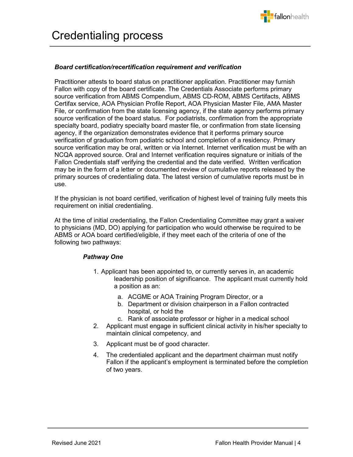

#### *Board certification/recertification requirement and verification*

Practitioner attests to board status on practitioner application. Practitioner may furnish Fallon with copy of the board certificate. The Credentials Associate performs primary source verification from ABMS Compendium, ABMS CD-ROM, ABMS Certifacts, ABMS Certifax service, AOA Physician Profile Report, AOA Physician Master File, AMA Master File, or confirmation from the state licensing agency, if the state agency performs primary source verification of the board status. For podiatrists, confirmation from the appropriate specialty board, podiatry specialty board master file, or confirmation from state licensing agency, if the organization demonstrates evidence that it performs primary source verification of graduation from podiatric school and completion of a residency. Primary source verification may be oral, written or via Internet. Internet verification must be with an NCQA approved source. Oral and Internet verification requires signature or initials of the Fallon Credentials staff verifying the credential and the date verified. Written verification may be in the form of a letter or documented review of cumulative reports released by the primary sources of credentialing data. The latest version of cumulative reports must be in use.

If the physician is not board certified, verification of highest level of training fully meets this requirement on initial credentialing.

At the time of initial credentialing, the Fallon Credentialing Committee may grant a waiver to physicians (MD, DO) applying for participation who would otherwise be required to be ABMS or AOA board certified/eligible, if they meet each of the criteria of one of the following two pathways:

### *Pathway One*

- 1. Applicant has been appointed to, or currently serves in, an academic leadership position of significance. The applicant must currently hold a position as an:
	- a. ACGME or AOA Training Program Director, or a
	- b. Department or division chairperson in a Fallon contracted hospital, or hold the
	- c. Rank of associate professor or higher in a medical school
- 2. Applicant must engage in sufficient clinical activity in his/her specialty to maintain clinical competency, and
- 3. Applicant must be of good character.
- 4. The credentialed applicant and the department chairman must notify Fallon if the applicant's employment is terminated before the completion of two years.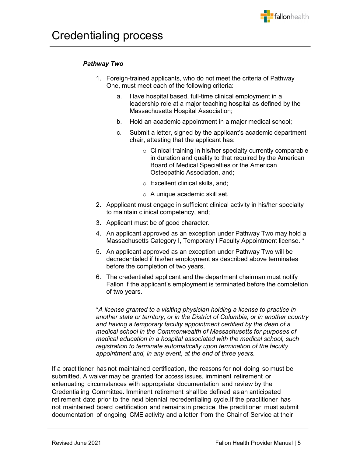## *Pathway Two*

- 1. Foreign-trained applicants, who do not meet the criteria of Pathway One, must meet each of the following criteria:
	- a. Have hospital based, full-time clinical employment in a leadership role at a major teaching hospital as defined by the Massachusetts Hospital Association;
	- b. Hold an academic appointment in a major medical school;
	- c. Submit a letter, signed by the applicant's academic department chair, attesting that the applicant has:
		- o Clinical training in his/her specialty currently comparable in duration and quality to that required by the American Board of Medical Specialties or the American Osteopathic Association, and;
		- o Excellent clinical skills, and;
		- o A unique academic skill set.
- 2. Appplicant must engage in sufficient clinical activity in his/her specialty to maintain clinical competency, and;
- 3. Applicant must be of good character.
- 4. An applicant approved as an exception under Pathway Two may hold a Massachusetts Category I, Temporary I Faculty Appointment license. \*
- 5. An applicant approved as an exception under Pathway Two will be decredentialed if his/her employment as described above terminates before the completion of two years.
- 6. The credentialed applicant and the department chairman must notify Fallon if the applicant's employment is terminated before the completion of two years.

\**A license granted to a visiting physician holding a license to practice in another state or territory, or in the District of Columbia, or in another country and having a temporary faculty appointment certified by the dean of a medical school in the Commonwealth of Massachusetts for purposes of medical education in a hospital associated with the medical school, such registration to terminate automatically upon termination of the faculty appointment and, in any event, at the end of three years.*

If a practitioner has not maintained certification, the reasons for not doing so must be submitted. A waiver may be granted for access issues, imminent retirement or extenuating circumstances with appropriate documentation and review by the Credentialing Committee. Imminent retirement shall be defined as an anticipated retirement date prior to the next biennial recredentialing cycle.If the practitioner has not maintained board certification and remains in practice, the practitioner must submit documentation of ongoing CME activity and a letter from the Chair of Service at their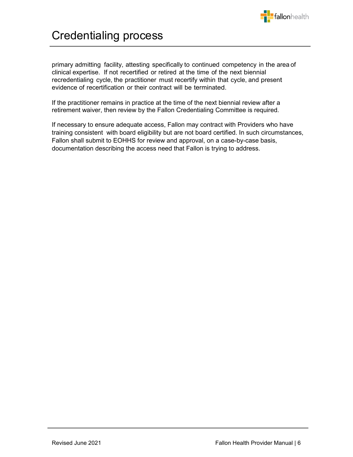

## Credentialing process

primary admitting facility, attesting specifically to continued competency in the area of clinical expertise. If not recertified or retired at the time of the next biennial recredentialing cycle, the practitioner must recertify within that cycle, and present evidence of recertification or their contract will be terminated.

If the practitioner remains in practice at the time of the next biennial review after a retirement waiver, then review by the Fallon Credentialing Committee is required.

If necessary to ensure adequate access, Fallon may contract with Providers who have training consistent with board eligibility but are not board certified. In such circumstances, Fallon shall submit to EOHHS for review and approval, on a case-by-case basis, documentation describing the access need that Fallon is trying to address.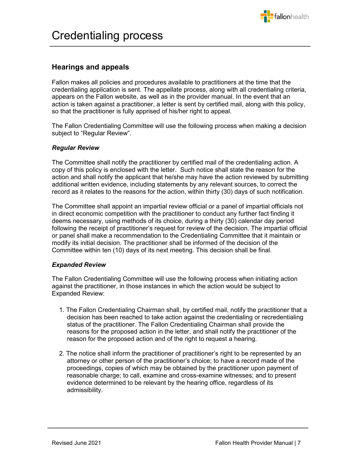

## <span id="page-6-0"></span>**Hearings and appeals**

Fallon makes all policies and procedures available to practitioners at the time that the credentialing application is sent. The appellate process, along with all credentialing criteria, appears on the Fallon website, as well as in the provider manual. In the event that an action is taken against a practitioner, a letter is sent by certified mail, along with this policy, so that the practitioner is fully apprised of his/her right to appeal.

The Fallon Credentialing Committee will use the following process when making a decision subject to "Regular Review".

#### *Regular Review*

The Committee shall notify the practitioner by certified mail of the credentialing action. A copy of this policy is enclosed with the letter. Such notice shall state the reason for the action and shall notify the applicant that he/she may have the action reviewed by submitting additional written evidence, including statements by any relevant sources, to correct the record as it relates to the reasons for the action, within thirty (30) days of such notification.

The Committee shall appoint an impartial review official or a panel of impartial officials not in direct economic competition with the practitioner to conduct any further fact finding it deems necessary, using methods of its choice, during a thirty (30) calendar day period following the receipt of practitioner's request for review of the decision. The impartial official or panel shall make a recommendation to the Credentialing Committee that it maintain or modify its initial decision. The practitioner shall be informed of the decision of the Committee within ten (10) days of its next meeting. This decision shall be final.

### *Expanded Review*

The Fallon Credentialing Committee will use the following process when initiating action against the practitioner, in those instances in which the action would be subject to Expanded Review:

- 1. The Fallon Credentialing Chairman shall, by certified mail, notify the practitioner that a decision has been reached to take action against the credentialing or recredentialing status of the practitioner. The Fallon Credentialing Chairman shall provide the reasons for the proposed action in the letter, and shall notify the practitioner of the reason for the proposed action and of the right to request a hearing.
- 2. The notice shall inform the practitioner of practitioner's right to be represented by an attorney or other person of the practitioner's choice; to have a record made of the proceedings, copies of which may be obtained by the practitioner upon payment of reasonable charge; to call, examine and cross-examine witnesses; and to present evidence determined to be relevant by the hearing office, regardless of its admissibility.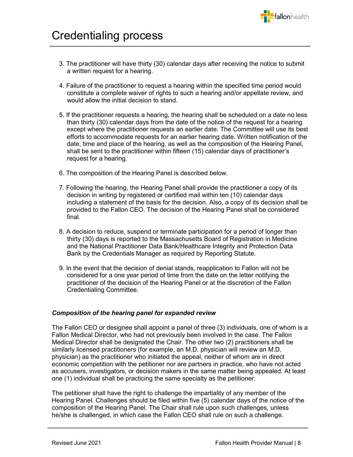

- 3. The practitioner will have thirty (30) calendar days after receiving the notice to submit a written request for a hearing.
- 4. Failure of the practitioner to request a hearing within the specified time period would constitute a complete waiver of rights to such a hearing and/or appellate review, and would allow the initial decision to stand.
- 5. If the practitioner requests a hearing, the hearing shall be scheduled on a date no less than thirty (30) calendar days from the date of the notice of the request for a hearing except where the practitioner requests an earlier date. The Committee will use its best efforts to accommodate requests for an earlier hearing date. Written notification of the date, time and place of the hearing, as well as the composition of the Hearing Panel, shall be sent to the practitioner within fifteen (15) calendar days of practitioner's request for a hearing.
- 6. The composition of the Hearing Panel is described below.
- 7. Following the hearing, the Hearing Panel shall provide the practitioner a copy of its decision in writing by registered or certified mail within ten (10) calendar days including a statement of the basis for the decision. Also, a copy of its decision shall be provided to the Fallon CEO. The decision of the Hearing Panel shall be considered final.
- 8. A decision to reduce, suspend or terminate participation for a period of longer than thirty (30) days is reported to the Massachusetts Board of Registration in Medicine and the National Practitioner Data Bank/Healthcare Integrity and Protection Data Bank by the Credentials Manager as required by Reporting Statute.
- 9. In the event that the decision of denial stands, reapplication to Fallon will not be considered for a one year period of time from the date on the letter notifying the practitioner of the decision of the Hearing Panel or at the discretion of the Fallon Credentialing Committee.

### *Composition of the hearing panel for expanded review*

The Fallon CEO or designee shall appoint a panel of three (3) individuals, one of whom is a Fallon Medical Director, who had not previously been involved in the case. The Fallon Medical Director shall be designated the Chair. The other two (2) practitioners shall be similarly licensed practitioners (for example, an M.D. physician will review an M.D. physician) as the practitioner who initiated the appeal, neither of whom are in direct economic competition with the petitioner nor are partners in practice, who have not acted as accusers, investigators, or decision makers in the same matter being appealed. At least one (1) individual shall be practicing the same specialty as the petitioner.

The petitioner shall have the right to challenge the impartiality of any member of the Hearing Panel. Challenges should be filed within five (5) calendar days of the notice of the composition of the Hearing Panel. The Chair shall rule upon such challenges, unless he/she is challenged, in which case the Fallon CEO shall rule on such a challenge.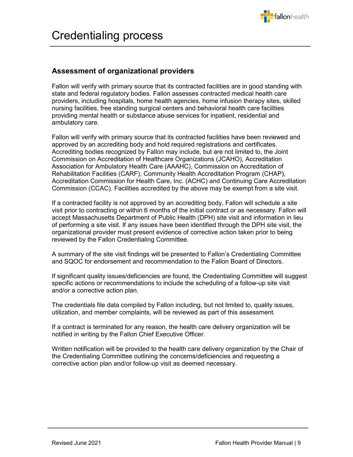

## <span id="page-8-0"></span>**Assessment of organizational providers**

Fallon will verify with primary source that its contracted facilities are in good standing with state and federal regulatory bodies. Fallon assesses contracted medical health care providers, including hospitals, home health agencies, home infusion therapy sites, skilled nursing facilities, free standing surgical centers and behavioral health care facilities providing mental health or substance abuse services for inpatient, residential and ambulatory care.

Fallon will verify with primary source that its contracted facilities have been reviewed and approved by an accrediting body and hold required registrations and certificates. Accrediting bodies recognized by Fallon may include, but are not limited to, the Joint Commission on Accreditation of Healthcare Organizations (JCAHO), Accreditation Association for Ambulatory Health Care (AAAHC), Commission on Accreditation of Rehabilitation Facilities (CARF), Community Health Accreditation Program (CHAP), Accreditation Commission for Health Care, Inc. (ACHC) and Continuing Care Accreditation Commission (CCAC). Facilities accredited by the above may be exempt from a site visit.

If a contracted facility is not approved by an accrediting body, Fallon will schedule a site visit prior to contracting or within 6 months of the initial contract or as necessary. Fallon will accept Massachusetts Department of Public Health (DPH) site visit and information in lieu of performing a site visit. If any issues have been identified through the DPH site visit, the organizational provider must present evidence of corrective action taken prior to being reviewed by the Fallon Credentialing Committee.

A summary of the site visit findings will be presented to Fallon's Credentialing Committee and SQOC for endorsement and recommendation to the Fallon Board of Directors.

If significant quality issues/deficiencies are found, the Credentialing Committee will suggest specific actions or recommendations to include the scheduling of a follow-up site visit and/or a corrective action plan.

The credentials file data compiled by Fallon including, but not limited to, quality issues, utilization, and member complaints, will be reviewed as part of this assessment.

If a contract is terminated for any reason, the health care delivery organization will be notified in writing by the Fallon Chief Executive Officer.

Written notification will be provided to the health care delivery organization by the Chair of the Credentialing Committee outlining the concerns/deficiencies and requesting a corrective action plan and/or follow-up visit as deemed necessary.